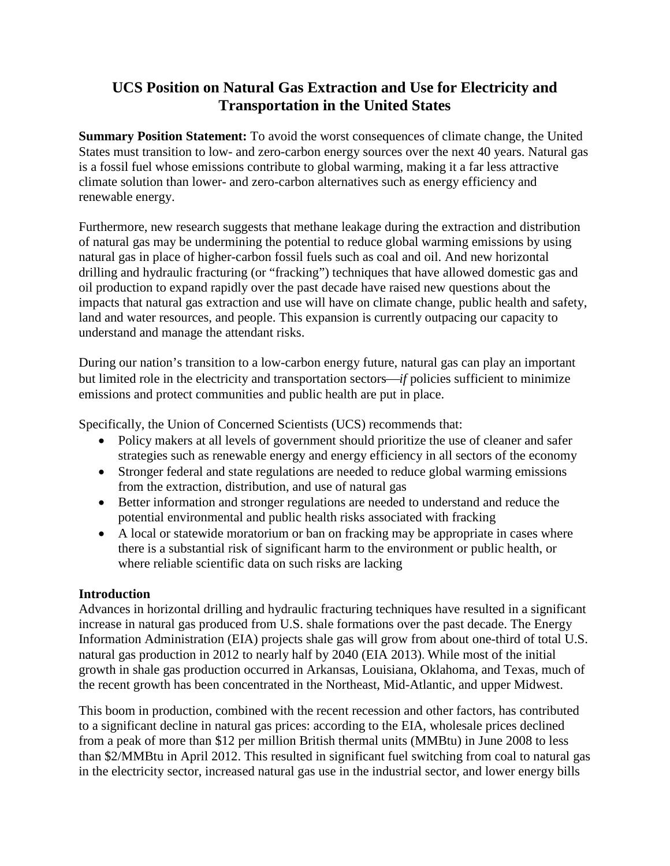# **UCS Position on Natural Gas Extraction and Use for Electricity and Transportation in the United States**

**Summary Position Statement:** To avoid the worst consequences of climate change, the United States must transition to low- and zero-carbon energy sources over the next 40 years. Natural gas is a fossil fuel whose emissions contribute to global warming, making it a far less attractive climate solution than lower- and zero-carbon alternatives such as energy efficiency and renewable energy.

Furthermore, new research suggests that methane leakage during the extraction and distribution of natural gas may be undermining the potential to reduce global warming emissions by using natural gas in place of higher-carbon fossil fuels such as coal and oil. And new horizontal drilling and hydraulic fracturing (or "fracking") techniques that have allowed domestic gas and oil production to expand rapidly over the past decade have raised new questions about the impacts that natural gas extraction and use will have on climate change, public health and safety, land and water resources, and people. This expansion is currently outpacing our capacity to understand and manage the attendant risks.

During our nation's transition to a low-carbon energy future, natural gas can play an important but limited role in the electricity and transportation sectors—*if* policies sufficient to minimize emissions and protect communities and public health are put in place.

Specifically, the Union of Concerned Scientists (UCS) recommends that:

- Policy makers at all levels of government should prioritize the use of cleaner and safer strategies such as renewable energy and energy efficiency in all sectors of the economy
- Stronger federal and state regulations are needed to reduce global warming emissions from the extraction, distribution, and use of natural gas
- Better information and stronger regulations are needed to understand and reduce the potential environmental and public health risks associated with fracking
- A local or statewide moratorium or ban on fracking may be appropriate in cases where there is a substantial risk of significant harm to the environment or public health, or where reliable scientific data on such risks are lacking

### **Introduction**

Advances in horizontal drilling and hydraulic fracturing techniques have resulted in a significant increase in natural gas produced from U.S. shale formations over the past decade. The Energy Information Administration (EIA) projects shale gas will grow from about one-third of total U.S. natural gas production in 2012 to nearly half by 2040 (EIA 2013). While most of the initial growth in shale gas production occurred in Arkansas, Louisiana, Oklahoma, and Texas, much of the recent growth has been concentrated in the Northeast, Mid-Atlantic, and upper Midwest.

This boom in production, combined with the recent recession and other factors, has contributed to a significant decline in natural gas prices: according to the EIA, wholesale prices declined from a peak of more than \$12 per million British thermal units (MMBtu) in June 2008 to less than \$2/MMBtu in April 2012. This resulted in significant fuel switching from coal to natural gas in the electricity sector, increased natural gas use in the industrial sector, and lower energy bills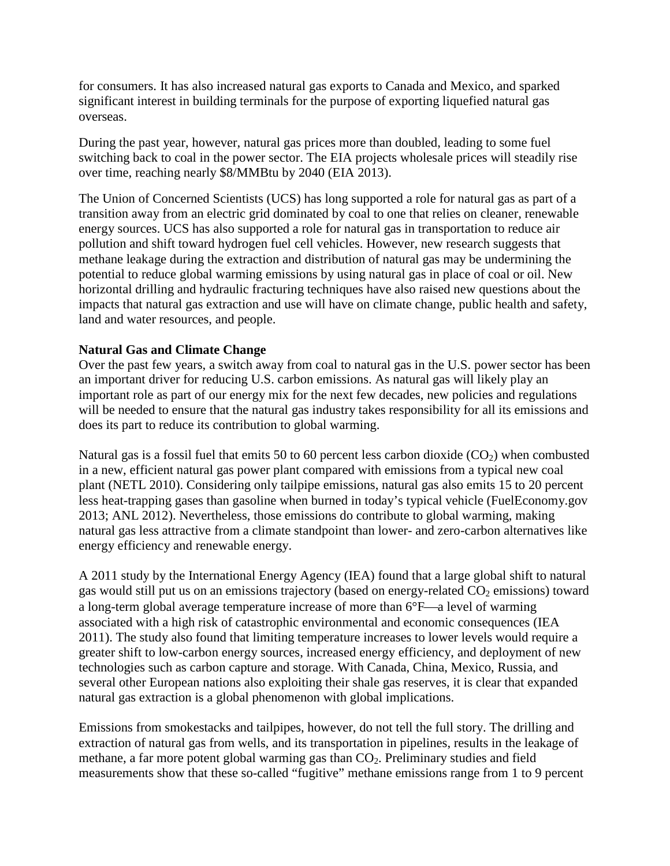for consumers. It has also increased natural gas exports to Canada and Mexico, and sparked significant interest in building terminals for the purpose of exporting liquefied natural gas overseas.

During the past year, however, natural gas prices more than doubled, leading to some fuel switching back to coal in the power sector. The EIA projects wholesale prices will steadily rise over time, reaching nearly \$8/MMBtu by 2040 (EIA 2013).

The Union of Concerned Scientists (UCS) has long supported a role for natural gas as part of a transition away from an electric grid dominated by coal to one that relies on cleaner, renewable energy sources. UCS has also supported a role for natural gas in transportation to reduce air pollution and shift toward hydrogen fuel cell vehicles. However, new research suggests that methane leakage during the extraction and distribution of natural gas may be undermining the potential to reduce global warming emissions by using natural gas in place of coal or oil. New horizontal drilling and hydraulic fracturing techniques have also raised new questions about the impacts that natural gas extraction and use will have on climate change, public health and safety, land and water resources, and people.

#### **Natural Gas and Climate Change**

Over the past few years, a switch away from coal to natural gas in the U.S. power sector has been an important driver for reducing U.S. carbon emissions. As natural gas will likely play an important role as part of our energy mix for the next few decades, new policies and regulations will be needed to ensure that the natural gas industry takes responsibility for all its emissions and does its part to reduce its contribution to global warming.

Natural gas is a fossil fuel that emits 50 to 60 percent less carbon dioxide  $(CO<sub>2</sub>)$  when combusted in a new, efficient natural gas power plant compared with emissions from a typical new coal plant (NETL 2010). Considering only tailpipe emissions, natural gas also emits 15 to 20 percent less heat-trapping gases than gasoline when burned in today's typical vehicle (FuelEconomy.gov 2013; ANL 2012). Nevertheless, those emissions do contribute to global warming, making natural gas less attractive from a climate standpoint than lower- and zero-carbon alternatives like energy efficiency and renewable energy.

A 2011 study by the International Energy Agency (IEA) found that a large global shift to natural gas would still put us on an emissions trajectory (based on energy-related  $CO<sub>2</sub>$  emissions) toward a long-term global average temperature increase of more than  $6^{\circ}F$ —a level of warming associated with a high risk of catastrophic environmental and economic consequences (IEA 2011). The study also found that limiting temperature increases to lower levels would require a greater shift to low-carbon energy sources, increased energy efficiency, and deployment of new technologies such as carbon capture and storage. With Canada, China, Mexico, Russia, and several other European nations also exploiting their shale gas reserves, it is clear that expanded natural gas extraction is a global phenomenon with global implications.

Emissions from smokestacks and tailpipes, however, do not tell the full story. The drilling and extraction of natural gas from wells, and its transportation in pipelines, results in the leakage of methane, a far more potent global warming gas than  $CO<sub>2</sub>$ . Preliminary studies and field measurements show that these so-called "fugitive" methane emissions range from 1 to 9 percent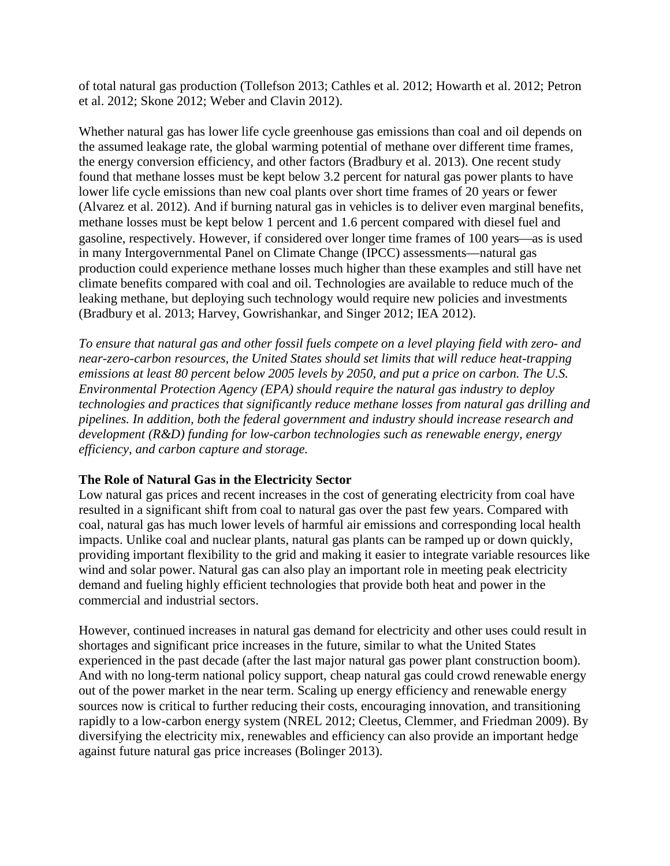of total natural gas production (Tollefson 2013; Cathles et al. 2012; Howarth et al. 2012; Petron et al. 2012; Skone 2012; Weber and Clavin 2012).

Whether natural gas has lower life cycle greenhouse gas emissions than coal and oil depends on the assumed leakage rate, the global warming potential of methane over different time frames, the energy conversion efficiency, and other factors (Bradbury et al. 2013). One recent study found that methane losses must be kept below 3.2 percent for natural gas power plants to have lower life cycle emissions than new coal plants over short time frames of 20 years or fewer (Alvarez et al. 2012). And if burning natural gas in vehicles is to deliver even marginal benefits, methane losses must be kept below 1 percent and 1.6 percent compared with diesel fuel and gasoline, respectively. However, if considered over longer time frames of 100 years—as is used in many Intergovernmental Panel on Climate Change (IPCC) assessments—natural gas production could experience methane losses much higher than these examples and still have net climate benefits compared with coal and oil. Technologies are available to reduce much of the leaking methane, but deploying such technology would require new policies and investments (Bradbury et al. 2013; Harvey, Gowrishankar, and Singer 2012; IEA 2012).

*To ensure that natural gas and other fossil fuels compete on a level playing field with zero- and near-zero-carbon resources, the United States should set limits that will reduce heat-trapping emissions at least 80 percent below 2005 levels by 2050, and put a price on carbon. The U.S. Environmental Protection Agency (EPA) should require the natural gas industry to deploy technologies and practices that significantly reduce methane losses from natural gas drilling and pipelines. In addition, both the federal government and industry should increase research and development (R&D) funding for low-carbon technologies such as renewable energy, energy efficiency, and carbon capture and storage.*

### **The Role of Natural Gas in the Electricity Sector**

Low natural gas prices and recent increases in the cost of generating electricity from coal have resulted in a significant shift from coal to natural gas over the past few years. Compared with coal, natural gas has much lower levels of harmful air emissions and corresponding local health impacts. Unlike coal and nuclear plants, natural gas plants can be ramped up or down quickly, providing important flexibility to the grid and making it easier to integrate variable resources like wind and solar power. Natural gas can also play an important role in meeting peak electricity demand and fueling highly efficient technologies that provide both heat and power in the commercial and industrial sectors.

However, continued increases in natural gas demand for electricity and other uses could result in shortages and significant price increases in the future, similar to what the United States experienced in the past decade (after the last major natural gas power plant construction boom). And with no long-term national policy support, cheap natural gas could crowd renewable energy out of the power market in the near term. Scaling up energy efficiency and renewable energy sources now is critical to further reducing their costs, encouraging innovation, and transitioning rapidly to a low-carbon energy system (NREL 2012; Cleetus, Clemmer, and Friedman 2009). By diversifying the electricity mix, renewables and efficiency can also provide an important hedge against future natural gas price increases (Bolinger 2013).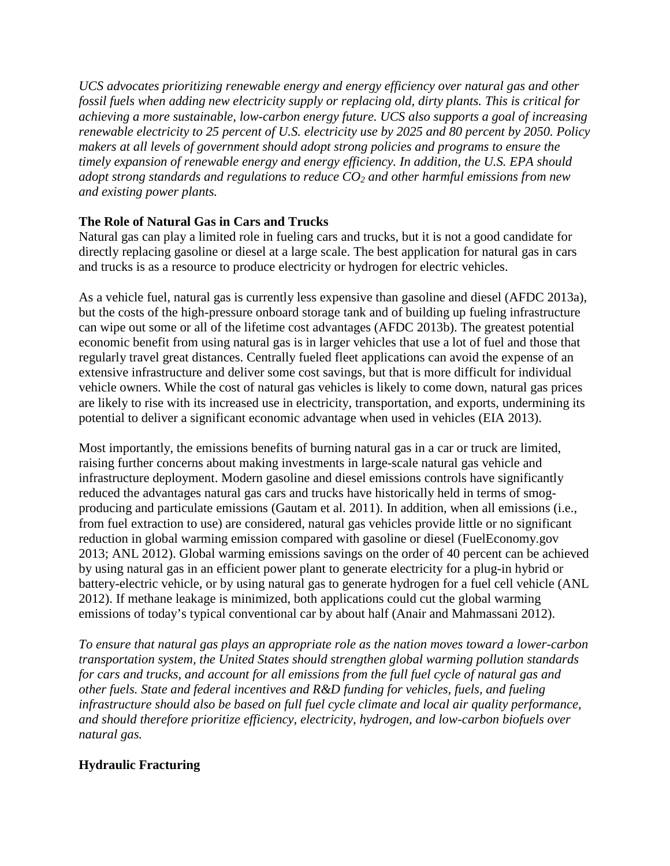*UCS advocates prioritizing renewable energy and energy efficiency over natural gas and other fossil fuels when adding new electricity supply or replacing old, dirty plants. This is critical for achieving a more sustainable, low-carbon energy future. UCS also supports a goal of increasing renewable electricity to 25 percent of U.S. electricity use by 2025 and 80 percent by 2050. Policy makers at all levels of government should adopt strong policies and programs to ensure the timely expansion of renewable energy and energy efficiency. In addition, the U.S. EPA should adopt strong standards and regulations to reduce CO2 and other harmful emissions from new and existing power plants.*

## **The Role of Natural Gas in Cars and Trucks**

Natural gas can play a limited role in fueling cars and trucks, but it is not a good candidate for directly replacing gasoline or diesel at a large scale. The best application for natural gas in cars and trucks is as a resource to produce electricity or hydrogen for electric vehicles.

As a vehicle fuel, natural gas is currently less expensive than gasoline and diesel (AFDC 2013a), but the costs of the high-pressure onboard storage tank and of building up fueling infrastructure can wipe out some or all of the lifetime cost advantages (AFDC 2013b). The greatest potential economic benefit from using natural gas is in larger vehicles that use a lot of fuel and those that regularly travel great distances. Centrally fueled fleet applications can avoid the expense of an extensive infrastructure and deliver some cost savings, but that is more difficult for individual vehicle owners. While the cost of natural gas vehicles is likely to come down, natural gas prices are likely to rise with its increased use in electricity, transportation, and exports, undermining its potential to deliver a significant economic advantage when used in vehicles (EIA 2013).

Most importantly, the emissions benefits of burning natural gas in a car or truck are limited, raising further concerns about making investments in large-scale natural gas vehicle and infrastructure deployment. Modern gasoline and diesel emissions controls have significantly reduced the advantages natural gas cars and trucks have historically held in terms of smogproducing and particulate emissions (Gautam et al. 2011). In addition, when all emissions (i.e., from fuel extraction to use) are considered, natural gas vehicles provide little or no significant reduction in global warming emission compared with gasoline or diesel (FuelEconomy.gov 2013; ANL 2012). Global warming emissions savings on the order of 40 percent can be achieved by using natural gas in an efficient power plant to generate electricity for a plug-in hybrid or battery-electric vehicle, or by using natural gas to generate hydrogen for a fuel cell vehicle (ANL 2012). If methane leakage is minimized, both applications could cut the global warming emissions of today's typical conventional car by about half (Anair and Mahmassani 2012).

*To ensure that natural gas plays an appropriate role as the nation moves toward a lower-carbon transportation system, the United States should strengthen global warming pollution standards for cars and trucks, and account for all emissions from the full fuel cycle of natural gas and other fuels. State and federal incentives and R&D funding for vehicles, fuels, and fueling infrastructure should also be based on full fuel cycle climate and local air quality performance, and should therefore prioritize efficiency, electricity, hydrogen, and low-carbon biofuels over natural gas.*

# **Hydraulic Fracturing**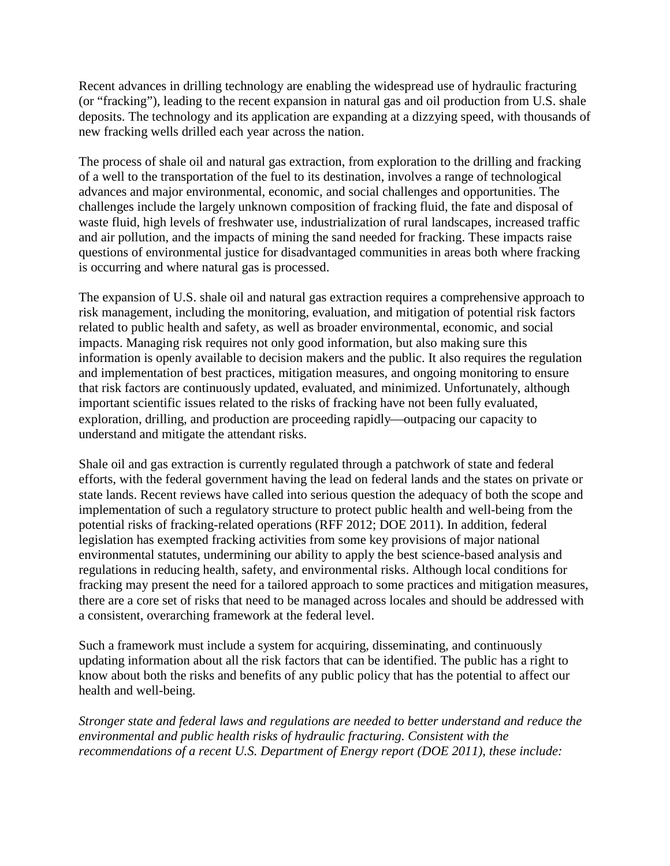Recent advances in drilling technology are enabling the widespread use of hydraulic fracturing (or "fracking"), leading to the recent expansion in natural gas and oil production from U.S. shale deposits. The technology and its application are expanding at a dizzying speed, with thousands of new fracking wells drilled each year across the nation.

The process of shale oil and natural gas extraction, from exploration to the drilling and fracking of a well to the transportation of the fuel to its destination, involves a range of technological advances and major environmental, economic, and social challenges and opportunities. The challenges include the largely unknown composition of fracking fluid, the fate and disposal of waste fluid, high levels of freshwater use, industrialization of rural landscapes, increased traffic and air pollution, and the impacts of mining the sand needed for fracking. These impacts raise questions of environmental justice for disadvantaged communities in areas both where fracking is occurring and where natural gas is processed.

The expansion of U.S. shale oil and natural gas extraction requires a comprehensive approach to risk management, including the monitoring, evaluation, and mitigation of potential risk factors related to public health and safety, as well as broader environmental, economic, and social impacts. Managing risk requires not only good information, but also making sure this information is openly available to decision makers and the public. It also requires the regulation and implementation of best practices, mitigation measures, and ongoing monitoring to ensure that risk factors are continuously updated, evaluated, and minimized. Unfortunately, although important scientific issues related to the risks of fracking have not been fully evaluated, exploration, drilling, and production are proceeding rapidly—outpacing our capacity to understand and mitigate the attendant risks.

Shale oil and gas extraction is currently regulated through a patchwork of state and federal efforts, with the federal government having the lead on federal lands and the states on private or state lands. Recent reviews have called into serious question the adequacy of both the scope and implementation of such a regulatory structure to protect public health and well-being from the potential risks of fracking-related operations (RFF 2012; DOE 2011). In addition, federal legislation has exempted fracking activities from some key provisions of major national environmental statutes, undermining our ability to apply the best science-based analysis and regulations in reducing health, safety, and environmental risks. Although local conditions for fracking may present the need for a tailored approach to some practices and mitigation measures, there are a core set of risks that need to be managed across locales and should be addressed with a consistent, overarching framework at the federal level.

Such a framework must include a system for acquiring, disseminating, and continuously updating information about all the risk factors that can be identified. The public has a right to know about both the risks and benefits of any public policy that has the potential to affect our health and well-being.

*Stronger state and federal laws and regulations are needed to better understand and reduce the environmental and public health risks of hydraulic fracturing. Consistent with the recommendations of a recent U.S. Department of Energy report (DOE 2011), these include:*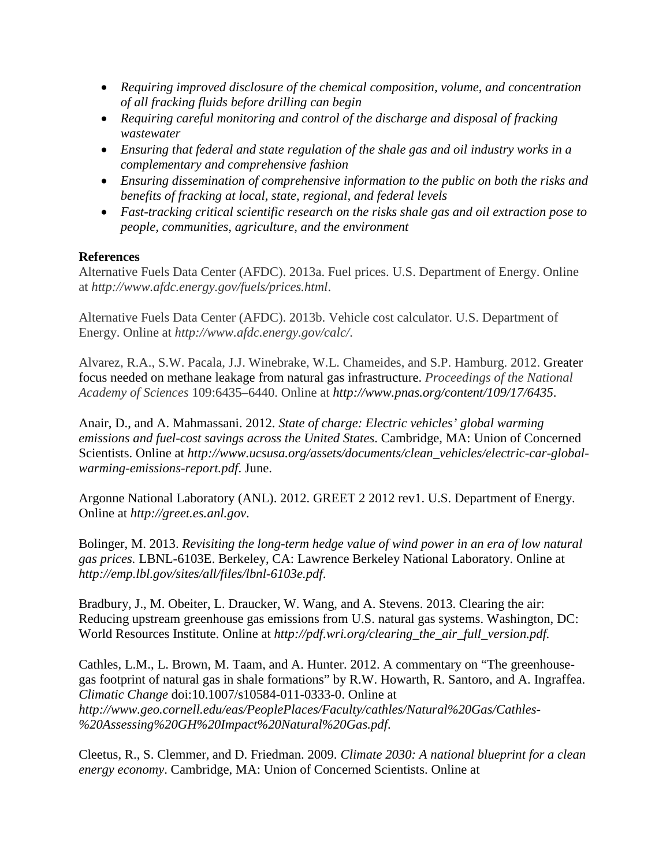- *Requiring improved disclosure of the chemical composition, volume, and concentration of all fracking fluids before drilling can begin*
- *Requiring careful monitoring and control of the discharge and disposal of fracking wastewater*
- *Ensuring that federal and state regulation of the shale gas and oil industry works in a complementary and comprehensive fashion*
- *Ensuring dissemination of comprehensive information to the public on both the risks and benefits of fracking at local, state, regional, and federal levels*
- *Fast-tracking critical scientific research on the risks shale gas and oil extraction pose to people, communities, agriculture, and the environment*

#### **References**

Alternative Fuels Data Center (AFDC). 2013a. Fuel prices. U.S. Department of Energy. Online at *http://www.afdc.energy.gov/fuels/prices.html*.

Alternative Fuels Data Center (AFDC). 2013b. Vehicle cost calculator. U.S. Department of Energy. Online at *http://www.afdc.energy.gov/calc/*.

Alvarez, R.A., S.W. Pacala, J.J. Winebrake, W.L. Chameides, and S.P. Hamburg. 2012. Greater focus needed on methane leakage from natural gas infrastructure. *Proceedings of the National Academy of Sciences* 109:6435–6440. Online at *http://www.pnas.org/content/109/17/6435*.

Anair, D., and A. Mahmassani. 2012. *State of charge: Electric vehicles' global warming emissions and fuel-cost savings across the United States*. Cambridge, MA: Union of Concerned Scientists. Online at *http://www.ucsusa.org/assets/documents/clean\_vehicles/electric-car-globalwarming-emissions-report.pdf*. June.

Argonne National Laboratory (ANL). 2012. GREET 2 2012 rev1. U.S. Department of Energy. Online at *http://greet.es.anl.gov*.

Bolinger, M. 2013. *Revisiting the long-term hedge value of wind power in an era of low natural gas prices.* LBNL-6103E. Berkeley, CA: Lawrence Berkeley National Laboratory. Online at *http://emp.lbl.gov/sites/all/files/lbnl-6103e.pdf*.

Bradbury, J., M. Obeiter, L. Draucker, W. Wang, and A. Stevens. 2013. Clearing the air: Reducing upstream greenhouse gas emissions from U.S. natural gas systems. Washington, DC: World Resources Institute. Online at *http://pdf.wri.org/clearing\_the\_air\_full\_version.pdf.*

Cathles, L.M., L. Brown, M. Taam, and A. Hunter. 2012. A commentary on "The greenhousegas footprint of natural gas in shale formations" by R.W. Howarth, R. Santoro, and A. Ingraffea. *Climatic Change* doi:10.1007/s10584-011-0333-0. Online at *http://www.geo.cornell.edu/eas/PeoplePlaces/Faculty/cathles/Natural%20Gas/Cathles- %20Assessing%20GH%20Impact%20Natural%20Gas.pdf*.

Cleetus, R., S. Clemmer, and D. Friedman. 2009. *Climate 2030: A national blueprint for a clean energy economy*. Cambridge, MA: Union of Concerned Scientists. Online at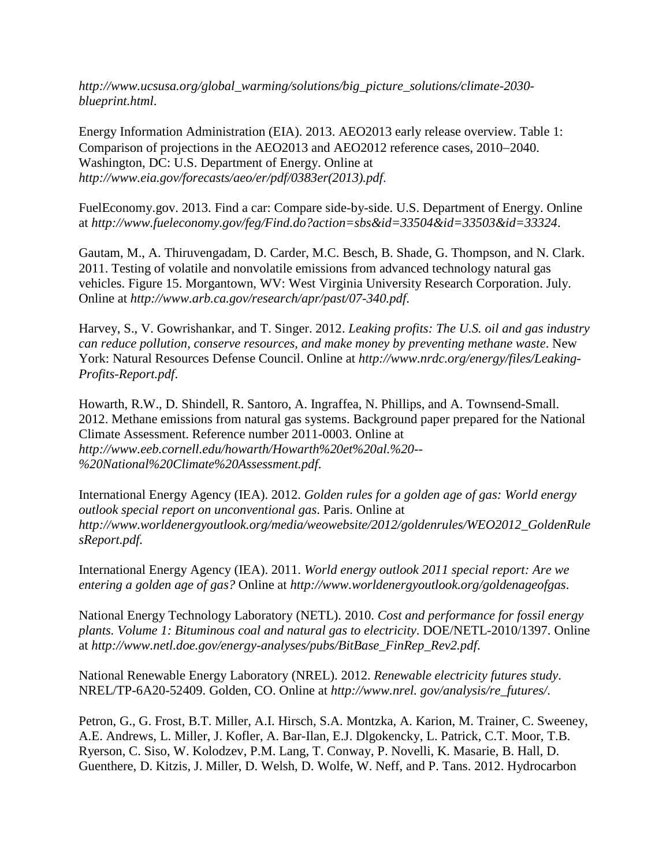*http://www.ucsusa.org/global\_warming/solutions/big\_picture\_solutions/climate-2030 blueprint.html*.

Energy Information Administration (EIA). 2013. AEO2013 early release overview. Table 1: Comparison of projections in the AEO2013 and AEO2012 reference cases, 2010−2040. Washington, DC: U.S. Department of Energy. Online at *http://www.eia.gov/forecasts/aeo/er/pdf/0383er(2013).pdf*.

FuelEconomy.gov. 2013. Find a car: Compare side-by-side. U.S. Department of Energy. Online at *http://www.fueleconomy.gov/feg/Find.do?action=sbs&id=33504&id=33503&id=33324*.

Gautam, M., A. Thiruvengadam, D. Carder, M.C. Besch, B. Shade, G. Thompson, and N. Clark. 2011. Testing of volatile and nonvolatile emissions from advanced technology natural gas vehicles. Figure 15. Morgantown, WV: West Virginia University Research Corporation. July. Online at *http://www.arb.ca.gov/research/apr/past/07-340.pdf*.

Harvey, S., V. Gowrishankar, and T. Singer. 2012. *Leaking profits: The U.S. oil and gas industry can reduce pollution, conserve resources, and make money by preventing methane waste*. New York: Natural Resources Defense Council. Online at *http://www.nrdc.org/energy/files/Leaking-Profits-Report.pdf*.

Howarth, R.W., D. Shindell, R. Santoro, A. Ingraffea, N. Phillips, and A. Townsend-Small. 2012. Methane emissions from natural gas systems. Background paper prepared for the National Climate Assessment. Reference number 2011-0003. Online at *http://www.eeb.cornell.edu/howarth/Howarth%20et%20al.%20-- %20National%20Climate%20Assessment.pdf*.

International Energy Agency (IEA). 2012. *Golden rules for a golden age of gas: World energy outlook special report on unconventional gas*. Paris. Online at *http://www.worldenergyoutlook.org/media/weowebsite/2012/goldenrules/WEO2012\_GoldenRule sReport.pdf.*

International Energy Agency (IEA). 2011. *World energy outlook 2011 special report: Are we entering a golden age of gas?* Online at *http://www.worldenergyoutlook.org/goldenageofgas*.

National Energy Technology Laboratory (NETL). 2010. *Cost and performance for fossil energy plants. Volume 1: Bituminous coal and natural gas to electricity*. DOE/NETL-2010/1397. Online at *http://www.netl.doe.gov/energy-analyses/pubs/BitBase\_FinRep\_Rev2.pdf*.

National Renewable Energy Laboratory (NREL). 2012. *Renewable electricity futures study*. NREL/TP-6A20-52409. Golden, CO. Online at *http://www.nrel. gov/analysis/re\_futures/*.

Petron, G., G. Frost, B.T. Miller, A.I. Hirsch, S.A. Montzka, A. Karion, M. Trainer, C. Sweeney, A.E. Andrews, L. Miller, J. Kofler, A. Bar-Ilan, E.J. Dlgokencky, L. Patrick, C.T. Moor, T.B. Ryerson, C. Siso, W. Kolodzev, P.M. Lang, T. Conway, P. Novelli, K. Masarie, B. Hall, D. Guenthere, D. Kitzis, J. Miller, D. Welsh, D. Wolfe, W. Neff, and P. Tans. 2012. Hydrocarbon